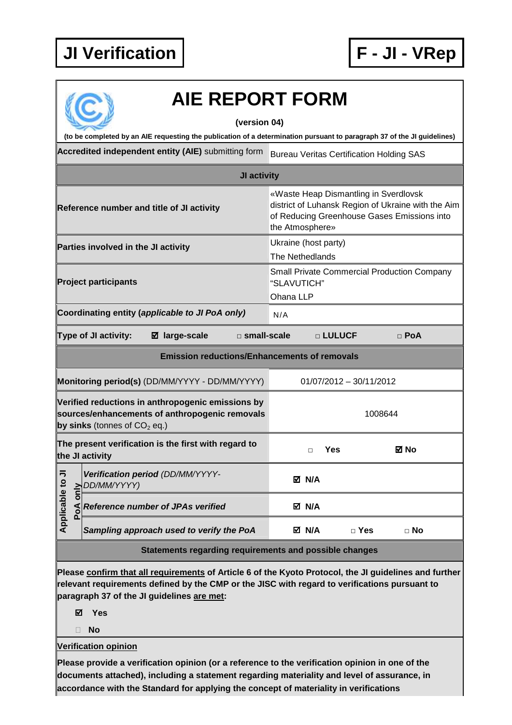## **JI Verification F - JI - VRep**



## **Accredited independent entity (AIE)** submitting form Bureau Veritas Certification Holding SAS **JI activity Reference number and title of JI activity** «Waste Heap Dismantling in Sverdlovsk district of Luhansk Region of Ukraine with the Aim of Reducing Greenhouse Gases Emissions into the Atmosphere» **Parties involved in the JI activity Ukraine** (host party) The Nethedlands **Project participants**  Small Private Commercial Production Company "SLAVUTICH" Ohana LLP Coordinating entity (applicable to JI PoA only) N/A **Type of JI activity: large-scale □ small-scale □ LULUCF □ PoA Emission reductions/Enhancements of removals Monitoring period(s)** (DD/MM/YYYY - DD/MM/YYYY) 01/07/2012 - 30/11/2012 **Verified reductions in anthropogenic emissions by sources/enhancements of anthropogenic removals by sinks** (tonnes of  $CO<sub>2</sub>$  eq.) 1008644 **The present verification is the first with regard to the JI activity □ Yes No Application perfication perfication**<br> **Apple 19**<br> **Application**<br> **Application**<br> **Application**<br> **Application Verification period** (DD/MM/YYYY-DD/MM/YYYY)  **N/A Reference number of JPAs verified ■ ■ N/A Sampling approach used to verify the PoA N/A □ Yes □ No Statements regarding requirements and possible changes Please confirm that all requirements of Article 6 of the Kyoto Protocol, the JI guidelines and further relevant requirements defined by the CMP or the JISC with regard to verifications pursuant to paragraph 37 of the JI guidelines are met: AIE REPORT FORM (version 04) (to be completed by an AIE requesting the publication of a determination pursuant to paragraph 37 of the JI guidelines)**

**Yes** 

**No** 

**Verification opinion** 

**Please provide a verification opinion (or a reference to the verification opinion in one of the documents attached), including a statement regarding materiality and level of assurance, in accordance with the Standard for applying the concept of materiality in verifications**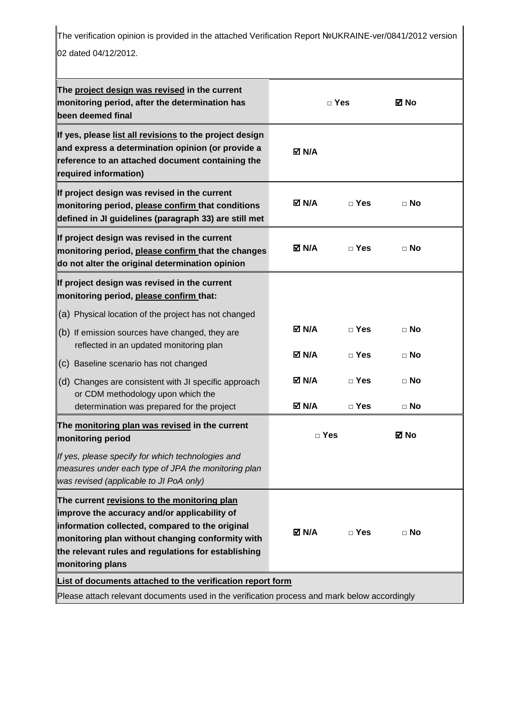The verification opinion is provided in the attached Verification Report №UKRAINE-ver/0841/2012 version 02 dated 04/12/2012.

| The project design was revised in the current<br>monitoring period, after the determination has<br>been deemed final                                                                                                                                                           | $\Box$ Yes            |                            | ⊠ No                   |  |
|--------------------------------------------------------------------------------------------------------------------------------------------------------------------------------------------------------------------------------------------------------------------------------|-----------------------|----------------------------|------------------------|--|
| If yes, please list all revisions to the project design<br>and express a determination opinion (or provide a<br>reference to an attached document containing the<br>required information)                                                                                      | $\boxtimes$ N/A       |                            |                        |  |
| If project design was revised in the current<br>monitoring period, please confirm that conditions<br>defined in JI guidelines (paragraph 33) are still met                                                                                                                     | <b>⊠ N/A</b>          | $\sqcap$ Yes               | $\Box$ No              |  |
| If project design was revised in the current<br>monitoring period, please confirm that the changes<br>do not alter the original determination opinion                                                                                                                          | <b>⊠ N/A</b>          | $\sqcap$ Yes               | $\sqcap$ No            |  |
| If project design was revised in the current<br>monitoring period, please confirm that:                                                                                                                                                                                        |                       |                            |                        |  |
| (a) Physical location of the project has not changed                                                                                                                                                                                                                           |                       |                            |                        |  |
| $(b)$ If emission sources have changed, they are<br>reflected in an updated monitoring plan                                                                                                                                                                                    | M N/A                 | $\sqcap$ Yes               | $\sqcap$ No            |  |
| (c) Baseline scenario has not changed                                                                                                                                                                                                                                          | M N/A                 | $\Box$ Yes                 | $\Box$ No              |  |
| (d) Changes are consistent with JI specific approach<br>or CDM methodology upon which the<br>determination was prepared for the project                                                                                                                                        | M N/A<br><b>☑ N/A</b> | $\sqcap$ Yes<br>$\Box$ Yes | $\Box$ No<br>$\Box$ No |  |
| The monitoring plan was revised in the current                                                                                                                                                                                                                                 |                       |                            |                        |  |
| monitoring period                                                                                                                                                                                                                                                              | ⊠ No<br>$\Box$ Yes    |                            |                        |  |
| If yes, please specify for which technologies and<br>measures under each type of JPA the monitoring plan<br>was revised (applicable to JI PoA only)                                                                                                                            |                       |                            |                        |  |
| The current revisions to the monitoring plan<br>improve the accuracy and/or applicability of<br>information collected, compared to the original<br>monitoring plan without changing conformity with<br>the relevant rules and regulations for establishing<br>monitoring plans | M N/A                 | $\Box$ Yes                 | $\Box$ No              |  |
| List of documents attached to the verification report form                                                                                                                                                                                                                     |                       |                            |                        |  |
| Please attach relevant documents used in the verification process and mark below accordingly                                                                                                                                                                                   |                       |                            |                        |  |